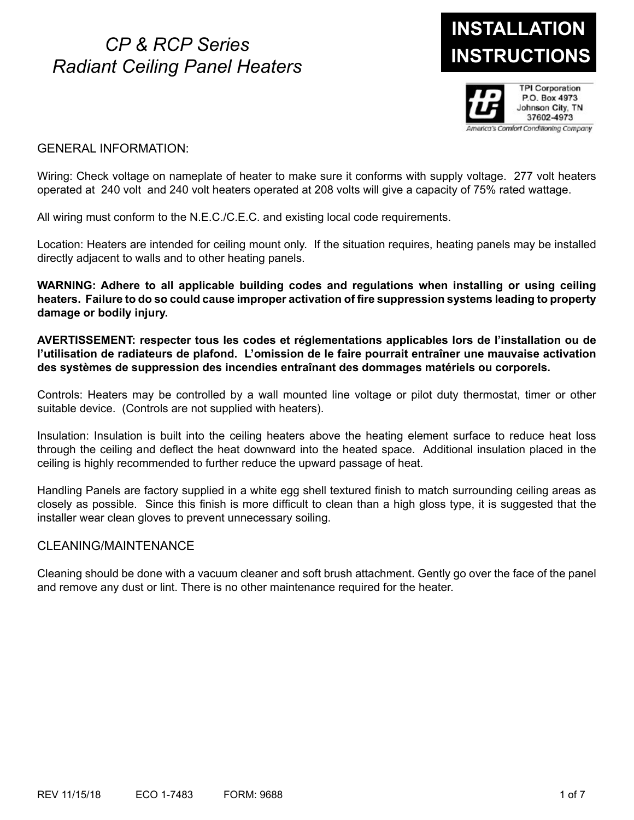# **INSTRUCTIONS** *CP & RCP Series Radiant Ceiling Panel Heaters*

# **INSTALLATION**



# GENERAL INFORMATION:

Wiring: Check voltage on nameplate of heater to make sure it conforms with supply voltage. 277 volt heaters operated at 240 volt and 240 volt heaters operated at 208 volts will give a capacity of 75% rated wattage.

All wiring must conform to the N.E.C./C.E.C. and existing local code requirements.

Location: Heaters are intended for ceiling mount only. If the situation requires, heating panels may be installed directly adjacent to walls and to other heating panels.

**WARNING: Adhere to all applicable building codes and regulations when installing or using ceiling heaters. Failure to do so could cause improper activation of fire suppression systems leading to property damage or bodily injury.**

**AVERTISSEMENT: respecter tous les codes et réglementations applicables lors de l'installation ou de l'utilisation de radiateurs de plafond. L'omission de le faire pourrait entraîner une mauvaise activation des systèmes de suppression des incendies entraînant des dommages matériels ou corporels.**

Controls: Heaters may be controlled by a wall mounted line voltage or pilot duty thermostat, timer or other suitable device. (Controls are not supplied with heaters).

Insulation: Insulation is built into the ceiling heaters above the heating element surface to reduce heat loss through the ceiling and deflect the heat downward into the heated space. Additional insulation placed in the ceiling is highly recommended to further reduce the upward passage of heat.

Handling Panels are factory supplied in a white egg shell textured finish to match surrounding ceiling areas as closely as possible. Since this finish is more difficult to clean than a high gloss type, it is suggested that the installer wear clean gloves to prevent unnecessary soiling.

## CLEANING/MAINTENANCE

Cleaning should be done with a vacuum cleaner and soft brush attachment. Gently go over the face of the panel and remove any dust or lint. There is no other maintenance required for the heater.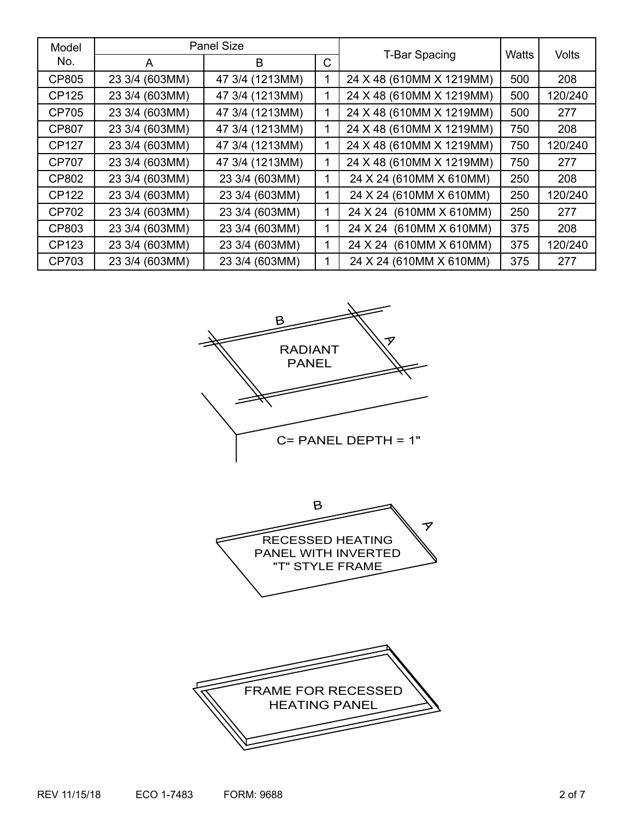| Model        | <b>Panel Size</b> |                 |              |                          |              |              |
|--------------|-------------------|-----------------|--------------|--------------------------|--------------|--------------|
| No.          | A                 | B               | $\mathsf{C}$ | <b>T-Bar Spacing</b>     | <b>Watts</b> | <b>Volts</b> |
| CP805        | 23 3/4 (603MM)    | 47 3/4 (1213MM) |              | 24 X 48 (610MM X 1219MM) | 500          | 208          |
| CP125        | 23 3/4 (603MM)    | 47 3/4 (1213MM) |              | 24 X 48 (610MM X 1219MM) | 500          | 120/240      |
| CP705        | 23 3/4 (603MM)    | 47 3/4 (1213MM) |              | 24 X 48 (610MM X 1219MM) | 500          | 277          |
| <b>CP807</b> | 23 3/4 (603MM)    | 47 3/4 (1213MM) |              | 24 X 48 (610MM X 1219MM) | 750          | 208          |
| <b>CP127</b> | 23 3/4 (603MM)    | 47 3/4 (1213MM) |              | 24 X 48 (610MM X 1219MM) | 750          | 120/240      |
| <b>CP707</b> | 23 3/4 (603MM)    | 47 3/4 (1213MM) |              | 24 X 48 (610MM X 1219MM) | 750          | 277          |
| CP802        | 23 3/4 (603MM)    | 23 3/4 (603MM)  |              | 24 X 24 (610MM X 610MM)  | 250          | 208          |
| CP122        | 23 3/4 (603MM)    | 23 3/4 (603MM)  |              | 24 X 24 (610MM X 610MM)  | 250          | 120/240      |
| CP702        | 23 3/4 (603MM)    | 23 3/4 (603MM)  |              | 24 X 24 (610MM X 610MM)  | 250          | 277          |
| CP803        | 23 3/4 (603MM)    | 23 3/4 (603MM)  |              | 24 X 24 (610MM X 610MM)  | 375          | 208          |
| CP123        | 23 3/4 (603MM)    | 23 3/4 (603MM)  |              | 24 X 24 (610MM X 610MM)  | 375          | 120/240      |
| CP703        | 23 3/4 (603MM)    | 23 3/4 (603MM)  |              | 24 X 24 (610MM X 610MM)  | 375          | 277          |





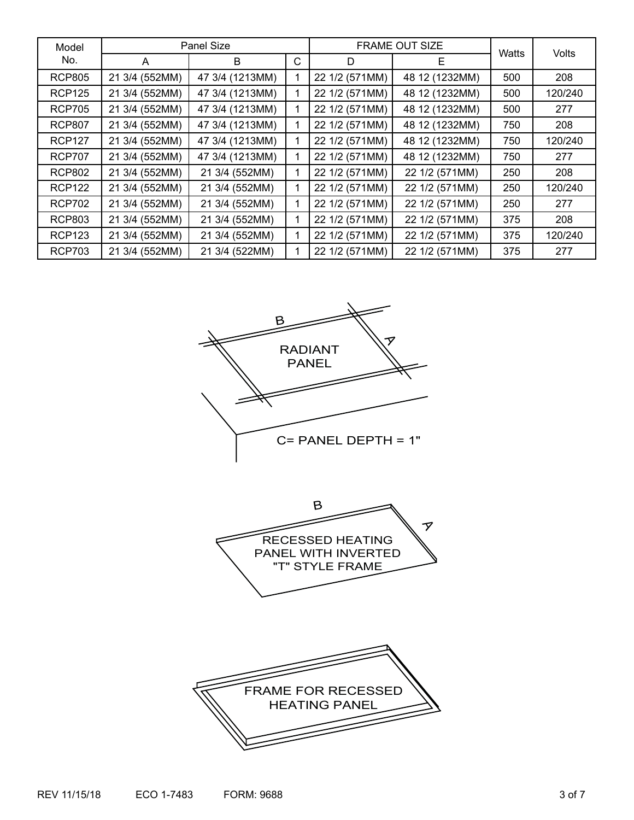| Model         | Panel Size     |                 |   | <b>FRAME OUT SIZE</b> | Watts          |     |         |
|---------------|----------------|-----------------|---|-----------------------|----------------|-----|---------|
| No.           | A              | B               | C | D                     | Е              |     | Volts   |
| <b>RCP805</b> | 21 3/4 (552MM) | 47 3/4 (1213MM) |   | 22 1/2 (571MM)        | 48 12 (1232MM) | 500 | 208     |
| <b>RCP125</b> | 21 3/4 (552MM) | 47 3/4 (1213MM) |   | 22 1/2 (571MM)        | 48 12 (1232MM) | 500 | 120/240 |
| <b>RCP705</b> | 21 3/4 (552MM) | 47 3/4 (1213MM) |   | 22 1/2 (571MM)        | 48 12 (1232MM) | 500 | 277     |
| <b>RCP807</b> | 21 3/4 (552MM) | 47 3/4 (1213MM) |   | 22 1/2 (571MM)        | 48 12 (1232MM) | 750 | 208     |
| <b>RCP127</b> | 21 3/4 (552MM) | 47 3/4 (1213MM) |   | 22 1/2 (571MM)        | 48 12 (1232MM) | 750 | 120/240 |
| <b>RCP707</b> | 21 3/4 (552MM) | 47 3/4 (1213MM) |   | 22 1/2 (571MM)        | 48 12 (1232MM) | 750 | 277     |
| <b>RCP802</b> | 21 3/4 (552MM) | 21 3/4 (552MM)  |   | 22 1/2 (571MM)        | 22 1/2 (571MM) | 250 | 208     |
| <b>RCP122</b> | 21 3/4 (552MM) | 21 3/4 (552MM)  |   | 22 1/2 (571MM)        | 22 1/2 (571MM) | 250 | 120/240 |
| <b>RCP702</b> | 21 3/4 (552MM) | 21 3/4 (552MM)  |   | 22 1/2 (571MM)        | 22 1/2 (571MM) | 250 | 277     |
| <b>RCP803</b> | 21 3/4 (552MM) | 21 3/4 (552MM)  |   | 22 1/2 (571MM)        | 22 1/2 (571MM) | 375 | 208     |
| <b>RCP123</b> | 21 3/4 (552MM) | 21 3/4 (552MM)  |   | 22 1/2 (571MM)        | 22 1/2 (571MM) | 375 | 120/240 |
| <b>RCP703</b> | 21 3/4 (552MM) | 21 3/4 (522MM)  |   | 22 1/2 (571MM)        | 22 1/2 (571MM) | 375 | 277     |





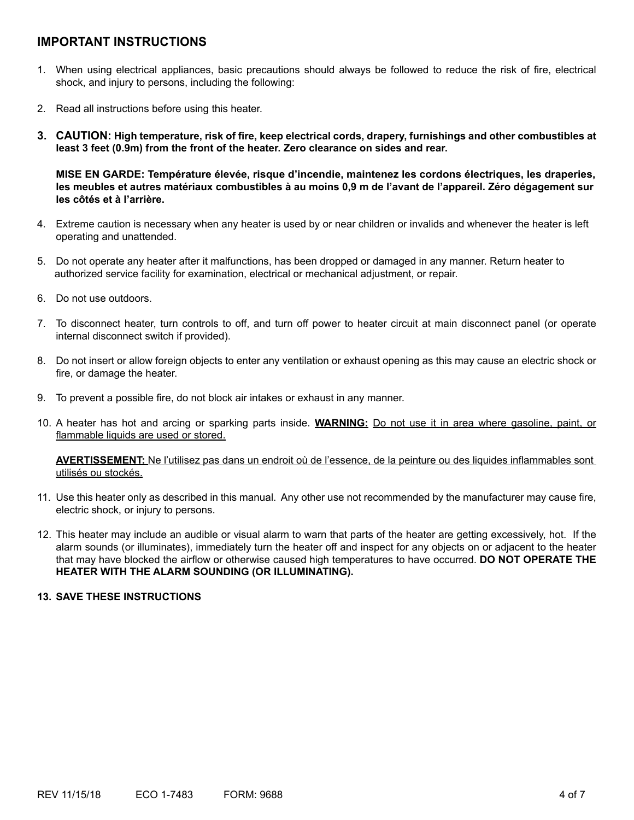# **IMPORTANT INSTRUCTIONS**

- 1. When using electrical appliances, basic precautions should always be followed to reduce the risk of fire, electrical shock, and injury to persons, including the following:
- 2. Read all instructions before using this heater.
- **3. CAUTION: High temperature, risk of fire, keep electrical cords, drapery, furnishings and other combustibles at least 3 feet (0.9m) from the front of the heater. Zero clearance on sides and rear.**

 **MISE EN GARDE: Température élevée, risque d'incendie, maintenez les cordons électriques, les draperies, les meubles et autres matériaux combustibles à au moins 0,9 m de l'avant de l'appareil. Zéro dégagement sur les côtés et à l'arrière.**

- 4. Extreme caution is necessary when any heater is used by or near children or invalids and whenever the heater is left operating and unattended.
- 5. Do not operate any heater after it malfunctions, has been dropped or damaged in any manner. Return heater to authorized service facility for examination, electrical or mechanical adjustment, or repair.
- 6. Do not use outdoors.
- 7. To disconnect heater, turn controls to off, and turn off power to heater circuit at main disconnect panel (or operate internal disconnect switch if provided).
- 8. Do not insert or allow foreign objects to enter any ventilation or exhaust opening as this may cause an electric shock or fire, or damage the heater.
- 9. To prevent a possible fire, do not block air intakes or exhaust in any manner.
- 10. A heater has hot and arcing or sparking parts inside. **WARNING:** Do not use it in area where gasoline, paint, or flammable liquids are used or stored.

**AVERTISSEMENT:** Ne l'utilisez pas dans un endroit où de l'essence, de la peinture ou des liquides inflammables sont utilisés ou stockés.

- 11. Use this heater only as described in this manual. Any other use not recommended by the manufacturer may cause fire, electric shock, or injury to persons.
- 12. This heater may include an audible or visual alarm to warn that parts of the heater are getting excessively, hot. If the alarm sounds (or illuminates), immediately turn the heater off and inspect for any objects on or adjacent to the heater that may have blocked the airflow or otherwise caused high temperatures to have occurred. **DO NOT OPERATE THE HEATER WITH THE ALARM SOUNDING (OR ILLUMINATING).**

#### **13. SAVE THESE INSTRUCTIONS**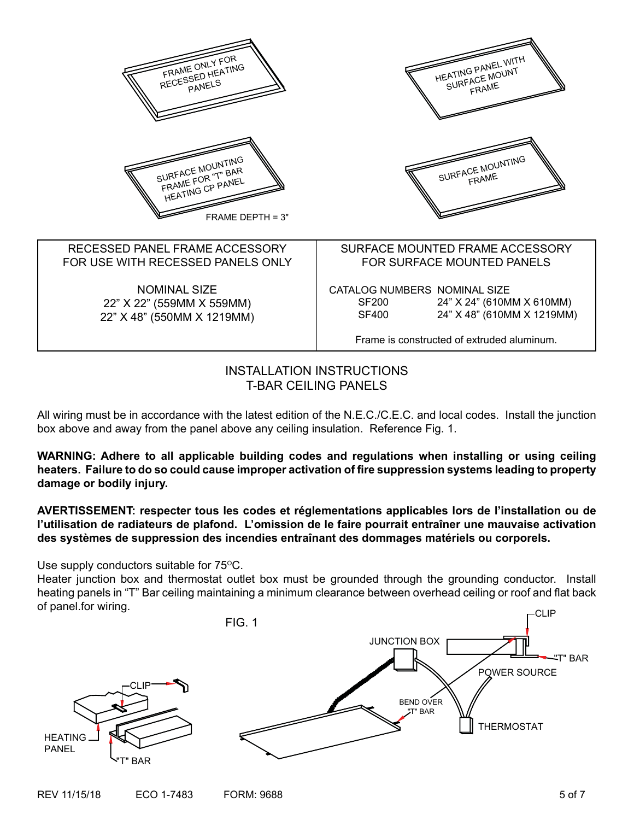| FRAME ONLY FOR                                                                  | HEATING PANEL WITH                                                                                                                                             |
|---------------------------------------------------------------------------------|----------------------------------------------------------------------------------------------------------------------------------------------------------------|
| RECESSED HEATING                                                                | SURFACE MOUNT                                                                                                                                                  |
| PANELS                                                                          | FRAME                                                                                                                                                          |
| SURFACE MOUNTING<br>FRAME FOR "T" BAR<br>HEATING OP PANEL<br>FRAME DEPTH = $3"$ | SURFACE MOUNTING<br>FRAME                                                                                                                                      |
| RECESSED PANEL FRAME ACCESSORY                                                  | SURFACE MOUNTED FRAME ACCESSORY                                                                                                                                |
| FOR USE WITH RECESSED PANELS ONLY                                               | FOR SURFACE MOUNTED PANELS                                                                                                                                     |
| <b>NOMINAL SIZE</b><br>22" X 22" (559MM X 559MM)<br>22" X 48" (550MM X 1219MM)  | CATALOG NUMBERS NOMINAL SIZE<br>24" X 24" (610MM X 610MM)<br>SF200<br>24" X 48" (610MM X 1219MM)<br><b>SF400</b><br>Frame is constructed of extruded aluminum. |

INSTALLATION INSTRUCTIONS T-BAR CEILING PANELS

All wiring must be in accordance with the latest edition of the N.E.C./C.E.C. and local codes. Install the junction box above and away from the panel above any ceiling insulation. Reference Fig. 1.

**WARNING: Adhere to all applicable building codes and regulations when installing or using ceiling heaters. Failure to do so could cause improper activation of fire suppression systems leading to property damage or bodily injury.**

**AVERTISSEMENT: respecter tous les codes et réglementations applicables lors de l'installation ou de l'utilisation de radiateurs de plafond. L'omission de le faire pourrait entraîner une mauvaise activation des systèmes de suppression des incendies entraînant des dommages matériels ou corporels.**

Use supply conductors suitable for  $75^{\circ}$ C.

Heater junction box and thermostat outlet box must be grounded through the grounding conductor. Install heating panels in "T" Bar ceiling maintaining a minimum clearance between overhead ceiling or roof and flat back of panel.for wiring.

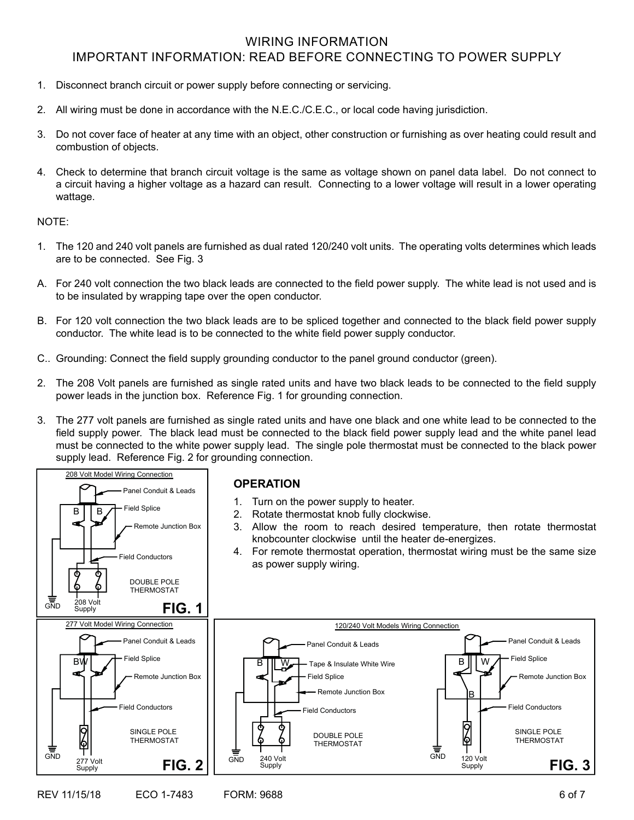# WIRING INFORMATION IMPORTANT INFORMATION: READ BEFORE CONNECTING TO POWER SUPPLY

- 1. Disconnect branch circuit or power supply before connecting or servicing.
- 2. All wiring must be done in accordance with the N.E.C./C.E.C., or local code having jurisdiction.
- 3. Do not cover face of heater at any time with an object, other construction or furnishing as over heating could result and combustion of objects.
- 4. Check to determine that branch circuit voltage is the same as voltage shown on panel data label. Do not connect to a circuit having a higher voltage as a hazard can result. Connecting to a lower voltage will result in a lower operating wattage.

#### NOTE:

- 1. The 120 and 240 volt panels are furnished as dual rated 120/240 volt units. The operating volts determines which leads are to be connected. See Fig. 3
- A. For 240 volt connection the two black leads are connected to the field power supply. The white lead is not used and is to be insulated by wrapping tape over the open conductor.
- B. For 120 volt connection the two black leads are to be spliced together and connected to the black field power supply conductor. The white lead is to be connected to the white field power supply conductor.
- C.. Grounding: Connect the field supply grounding conductor to the panel ground conductor (green).
- 2. The 208 Volt panels are furnished as single rated units and have two black leads to be connected to the field supply power leads in the junction box. Reference Fig. 1 for grounding connection.
- 3. The 277 volt panels are furnished as single rated units and have one black and one white lead to be connected to the field supply power. The black lead must be connected to the black field power supply lead and the white panel lead must be connected to the white power supply lead. The single pole thermostat must be connected to the black power supply lead. Reference Fig. 2 for grounding connection.